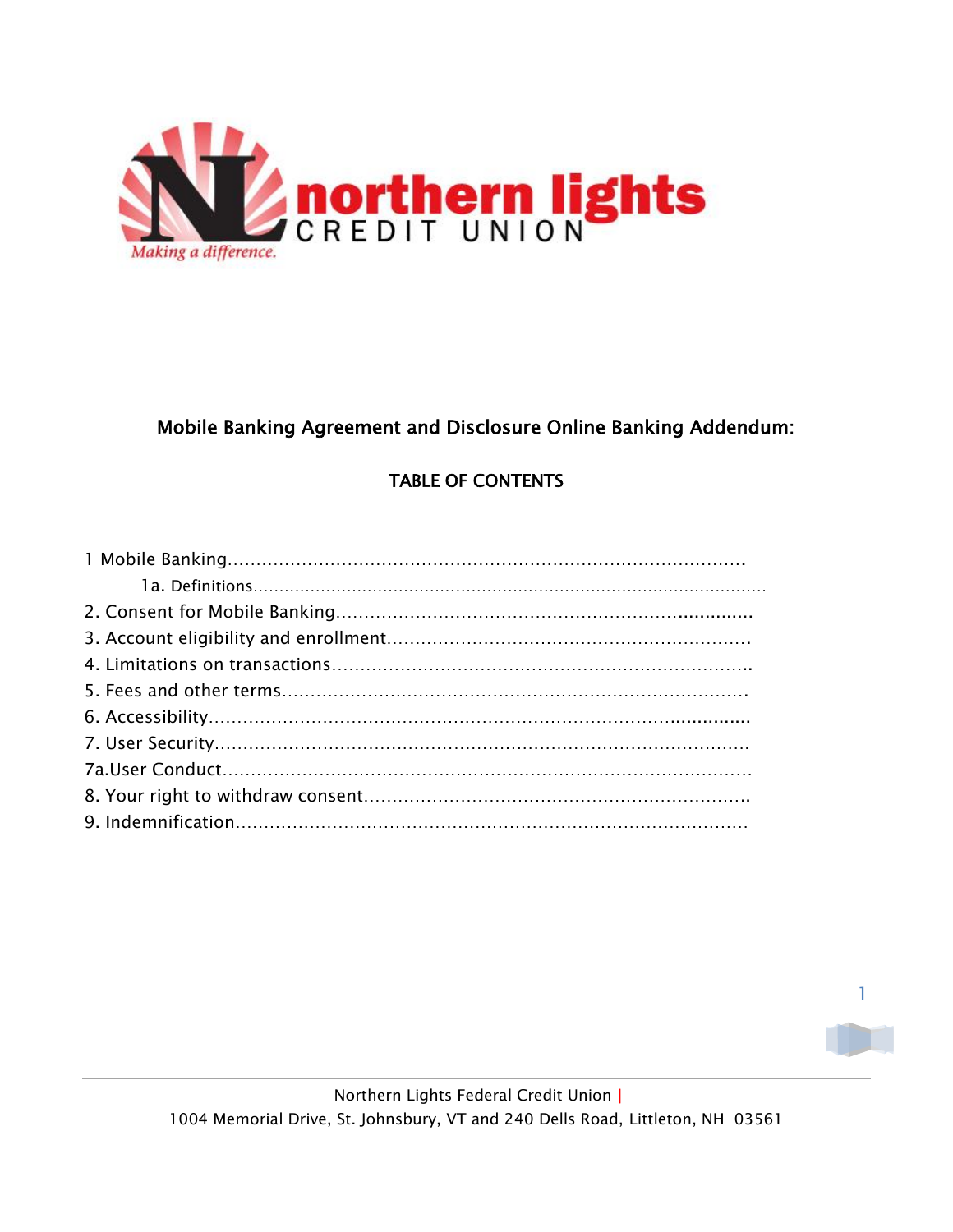

# Mobile Banking Agreement and Disclosure Online Banking Addendum:

# TABLE OF CONTENTS

1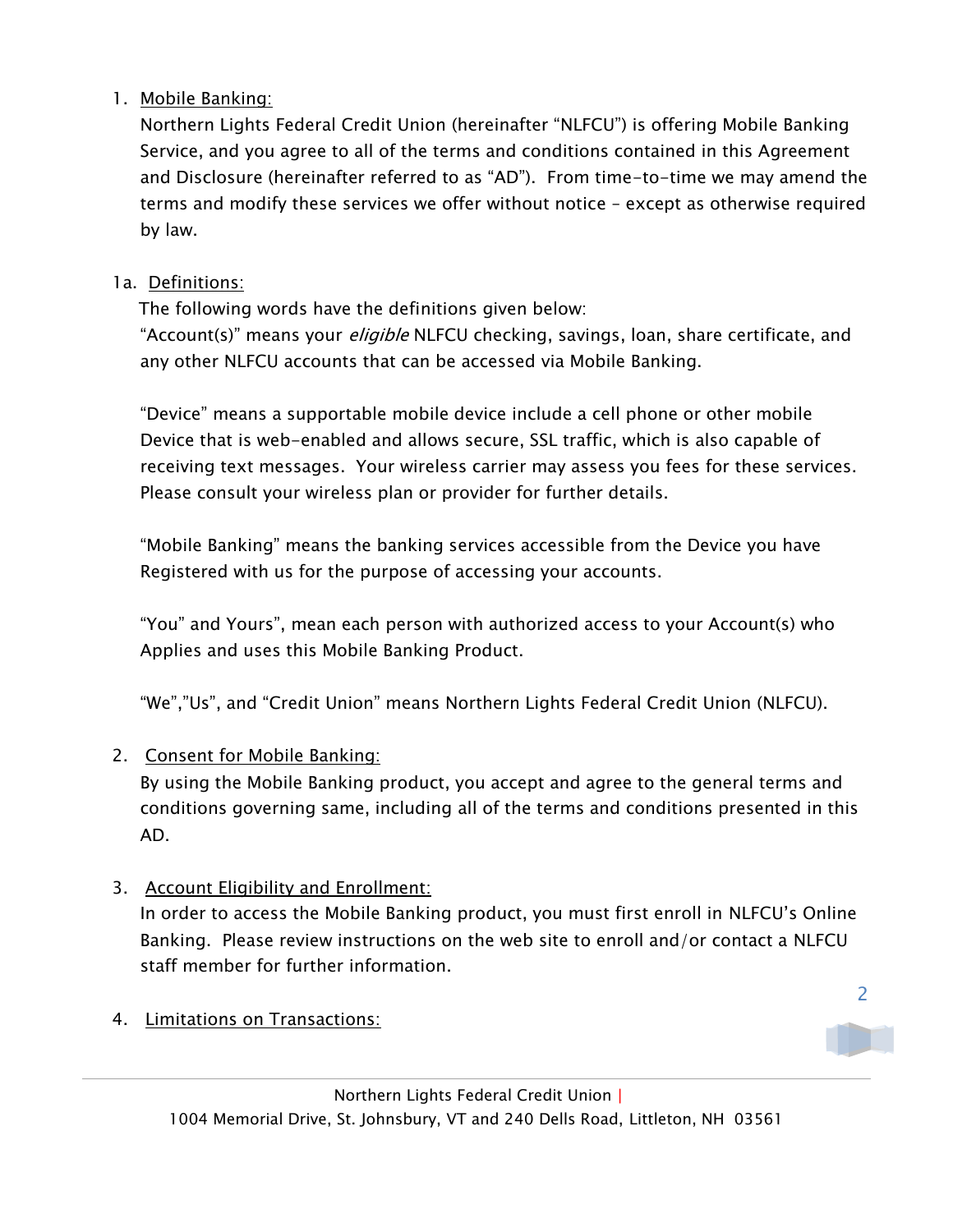### 1. Mobile Banking:

Northern Lights Federal Credit Union (hereinafter "NLFCU") is offering Mobile Banking Service, and you agree to all of the terms and conditions contained in this Agreement and Disclosure (hereinafter referred to as "AD"). From time-to-time we may amend the terms and modify these services we offer without notice – except as otherwise required by law.

## 1a. Definitions:

The following words have the definitions given below:

"Account(s)" means your *eligible* NLFCU checking, savings, loan, share certificate, and any other NLFCU accounts that can be accessed via Mobile Banking.

"Device" means a supportable mobile device include a cell phone or other mobile Device that is web-enabled and allows secure, SSL traffic, which is also capable of receiving text messages. Your wireless carrier may assess you fees for these services. Please consult your wireless plan or provider for further details.

"Mobile Banking" means the banking services accessible from the Device you have Registered with us for the purpose of accessing your accounts.

"You" and Yours", mean each person with authorized access to your Account(s) who Applies and uses this Mobile Banking Product.

"We","Us", and "Credit Union" means Northern Lights Federal Credit Union (NLFCU).

# 2. Consent for Mobile Banking:

By using the Mobile Banking product, you accept and agree to the general terms and conditions governing same, including all of the terms and conditions presented in this AD.

### 3. Account Eligibility and Enrollment:

In order to access the Mobile Banking product, you must first enroll in NLFCU's Online Banking. Please review instructions on the web site to enroll and/or contact a NLFCU staff member for further information.

4. Limitations on Transactions:



2

1004 Memorial Drive, St. Johnsbury, VT and 240 Dells Road, Littleton, NH 03561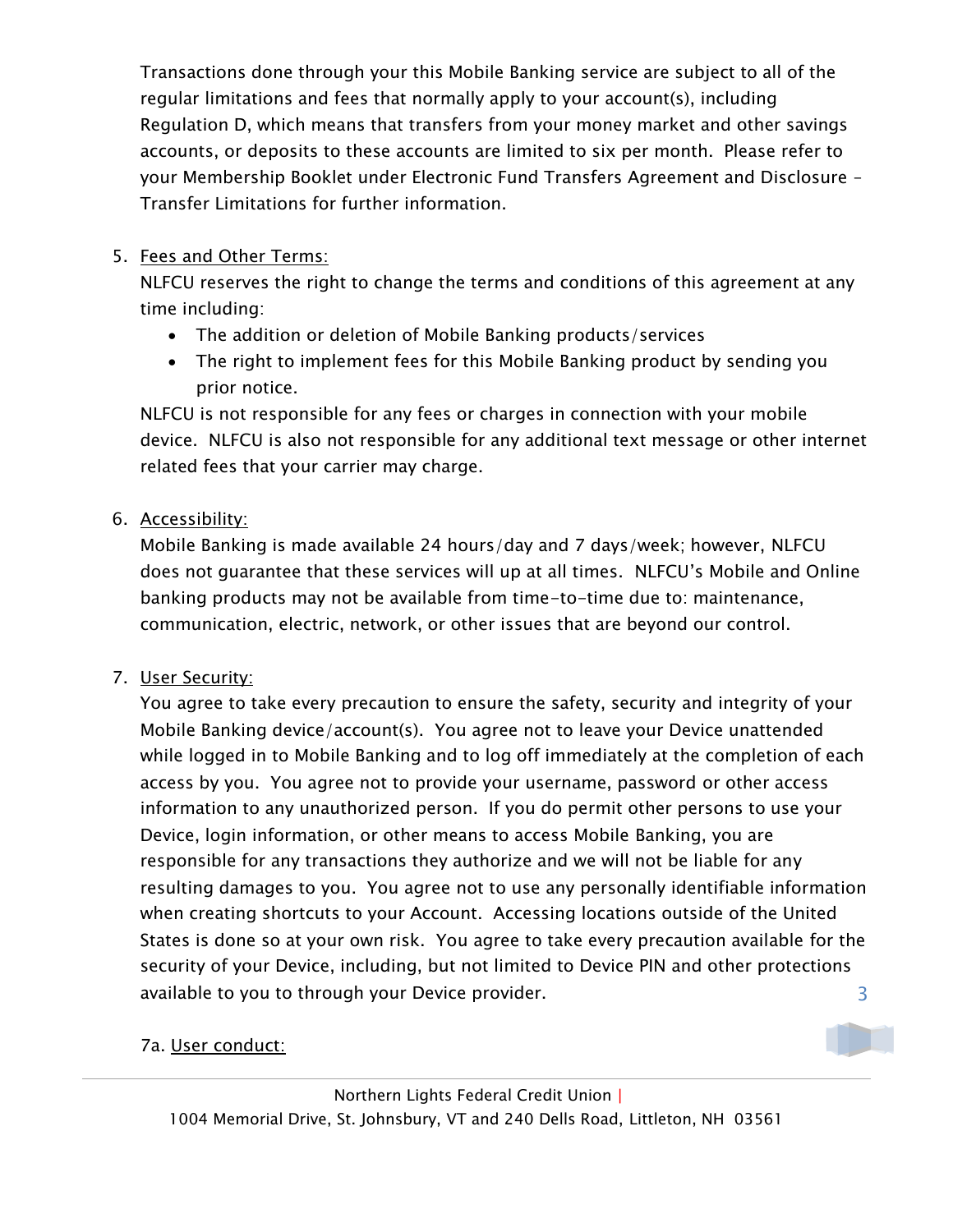Transactions done through your this Mobile Banking service are subject to all of the regular limitations and fees that normally apply to your account(s), including Regulation D, which means that transfers from your money market and other savings accounts, or deposits to these accounts are limited to six per month. Please refer to your Membership Booklet under Electronic Fund Transfers Agreement and Disclosure – Transfer Limitations for further information.

### 5. Fees and Other Terms:

NLFCU reserves the right to change the terms and conditions of this agreement at any time including:

- The addition or deletion of Mobile Banking products/services
- The right to implement fees for this Mobile Banking product by sending you prior notice.

NLFCU is not responsible for any fees or charges in connection with your mobile device. NLFCU is also not responsible for any additional text message or other internet related fees that your carrier may charge.

### 6. Accessibility:

Mobile Banking is made available 24 hours/day and 7 days/week; however, NLFCU does not guarantee that these services will up at all times. NLFCU's Mobile and Online banking products may not be available from time-to-time due to: maintenance, communication, electric, network, or other issues that are beyond our control.

### 7. User Security:

3 You agree to take every precaution to ensure the safety, security and integrity of your Mobile Banking device/account(s). You agree not to leave your Device unattended while logged in to Mobile Banking and to log off immediately at the completion of each access by you. You agree not to provide your username, password or other access information to any unauthorized person. If you do permit other persons to use your Device, login information, or other means to access Mobile Banking, you are responsible for any transactions they authorize and we will not be liable for any resulting damages to you. You agree not to use any personally identifiable information when creating shortcuts to your Account. Accessing locations outside of the United States is done so at your own risk. You agree to take every precaution available for the security of your Device, including, but not limited to Device PIN and other protections available to you to through your Device provider.

### 7a. User conduct: